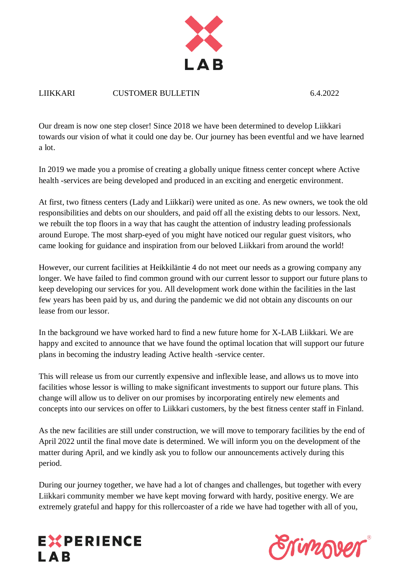

## LIIKKARI CUSTOMER BULLETIN 6.4.2022

Our dream is now one step closer! Since 2018 we have been determined to develop Liikkari towards our vision of what it could one day be. Our journey has been eventful and we have learned a lot.

In 2019 we made you a promise of creating a globally unique fitness center concept where Active health -services are being developed and produced in an exciting and energetic environment.

At first, two fitness centers (Lady and Liikkari) were united as one. As new owners, we took the old responsibilities and debts on our shoulders, and paid off all the existing debts to our lessors. Next, we rebuilt the top floors in a way that has caught the attention of industry leading professionals around Europe. The most sharp-eyed of you might have noticed our regular guest visitors, who came looking for guidance and inspiration from our beloved Liikkari from around the world!

However, our current facilities at Heikkiläntie 4 do not meet our needs as a growing company any longer. We have failed to find common ground with our current lessor to support our future plans to keep developing our services for you. All development work done within the facilities in the last few years has been paid by us, and during the pandemic we did not obtain any discounts on our lease from our lessor.

In the background we have worked hard to find a new future home for X-LAB Liikkari. We are happy and excited to announce that we have found the optimal location that will support our future plans in becoming the industry leading Active health -service center.

This will release us from our currently expensive and inflexible lease, and allows us to move into facilities whose lessor is willing to make significant investments to support our future plans. This change will allow us to deliver on our promises by incorporating entirely new elements and concepts into our services on offer to Liikkari customers, by the best fitness center staff in Finland.

As the new facilities are still under construction, we will move to temporary facilities by the end of April 2022 until the final move date is determined. We will inform you on the development of the matter during April, and we kindly ask you to follow our announcements actively during this period.

During our journey together, we have had a lot of changes and challenges, but together with every Liikkari community member we have kept moving forward with hardy, positive energy. We are extremely grateful and happy for this rollercoaster of a ride we have had together with all of you,